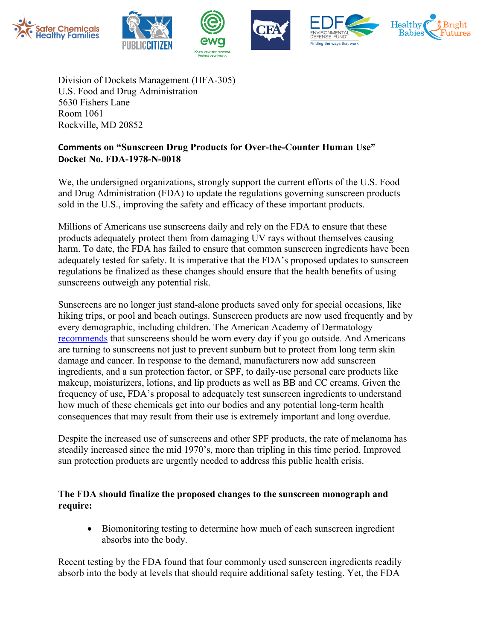

Division of Dockets Management (HFA-305) U.S. Food and Drug Administration 5630 Fishers Lane Room 1061 Rockville, MD 20852

## **Comments on "Sunscreen Drug Products for Over-the-Counter Human Use" Docket No. FDA-1978-N-0018**

We, the undersigned organizations, strongly support the current efforts of the U.S. Food and Drug Administration (FDA) to update the regulations governing sunscreen products sold in the U.S., improving the safety and efficacy of these important products.

Millions of Americans use sunscreens daily and rely on the FDA to ensure that these products adequately protect them from damaging UV rays without themselves causing harm. To date, the FDA has failed to ensure that common sunscreen ingredients have been adequately tested for safety. It is imperative that the FDA's proposed updates to sunscreen regulations be finalized as these changes should ensure that the health benefits of using sunscreens outweigh any potential risk.

Sunscreens are no longer just stand-alone products saved only for special occasions, like hiking trips, or pool and beach outings. Sunscreen products are now used frequently and by every demographic, including children. The American Academy of Dermatology recommends that sunscreens should be worn every day if you go outside. And Americans are turning to sunscreens not just to prevent sunburn but to protect from long term skin damage and cancer. In response to the demand, manufacturers now add sunscreen ingredients, and a sun protection factor, or SPF, to daily-use personal care products like makeup, moisturizers, lotions, and lip products as well as BB and CC creams. Given the frequency of use, FDA's proposal to adequately test sunscreen ingredients to understand how much of these chemicals get into our bodies and any potential long-term health consequences that may result from their use is extremely important and long overdue.

Despite the increased use of sunscreens and other SPF products, the rate of melanoma has steadily increased since the mid 1970's, more than tripling in this time period. Improved sun protection products are urgently needed to address this public health crisis.

## **The FDA should finalize the proposed changes to the sunscreen monograph and require:**

• Biomonitoring testing to determine how much of each sunscreen ingredient absorbs into the body.

Recent testing by the FDA found that four commonly used sunscreen ingredients readily absorb into the body at levels that should require additional safety testing. Yet, the FDA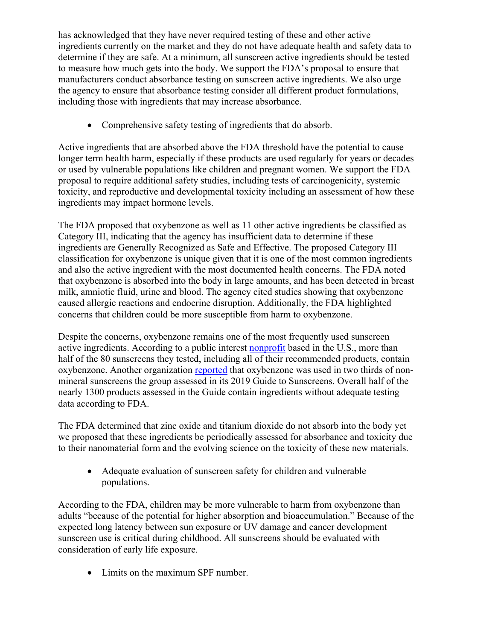has acknowledged that they have never required testing of these and other active ingredients currently on the market and they do not have adequate health and safety data to determine if they are safe. At a minimum, all sunscreen active ingredients should be tested to measure how much gets into the body. We support the FDA's proposal to ensure that manufacturers conduct absorbance testing on sunscreen active ingredients. We also urge the agency to ensure that absorbance testing consider all different product formulations, including those with ingredients that may increase absorbance.

• Comprehensive safety testing of ingredients that do absorb.

Active ingredients that are absorbed above the FDA threshold have the potential to cause longer term health harm, especially if these products are used regularly for years or decades or used by vulnerable populations like children and pregnant women. We support the FDA proposal to require additional safety studies, including tests of carcinogenicity, systemic toxicity, and reproductive and developmental toxicity including an assessment of how these ingredients may impact hormone levels.

The FDA proposed that oxybenzone as well as 11 other active ingredients be classified as Category III, indicating that the agency has insufficient data to determine if these ingredients are Generally Recognized as Safe and Effective. The proposed Category III classification for oxybenzone is unique given that it is one of the most common ingredients and also the active ingredient with the most documented health concerns. The FDA noted that oxybenzone is absorbed into the body in large amounts, and has been detected in breast milk, amniotic fluid, urine and blood. The agency cited studies showing that oxybenzone caused allergic reactions and endocrine disruption. Additionally, the FDA highlighted concerns that children could be more susceptible from harm to oxybenzone.

Despite the concerns, oxybenzone remains one of the most frequently used sunscreen active ingredients. According to a public interest nonprofit based in the U.S., more than half of the 80 sunscreens they tested, including all of their recommended products, contain oxybenzone. Another organization reported that oxybenzone was used in two thirds of nonmineral sunscreens the group assessed in its 2019 Guide to Sunscreens. Overall half of the nearly 1300 products assessed in the Guide contain ingredients without adequate testing data according to FDA.

The FDA determined that zinc oxide and titanium dioxide do not absorb into the body yet we proposed that these ingredients be periodically assessed for absorbance and toxicity due to their nanomaterial form and the evolving science on the toxicity of these new materials.

• Adequate evaluation of sunscreen safety for children and vulnerable populations.

According to the FDA, children may be more vulnerable to harm from oxybenzone than adults "because of the potential for higher absorption and bioaccumulation." Because of the expected long latency between sun exposure or UV damage and cancer development sunscreen use is critical during childhood. All sunscreens should be evaluated with consideration of early life exposure.

• Limits on the maximum SPF number.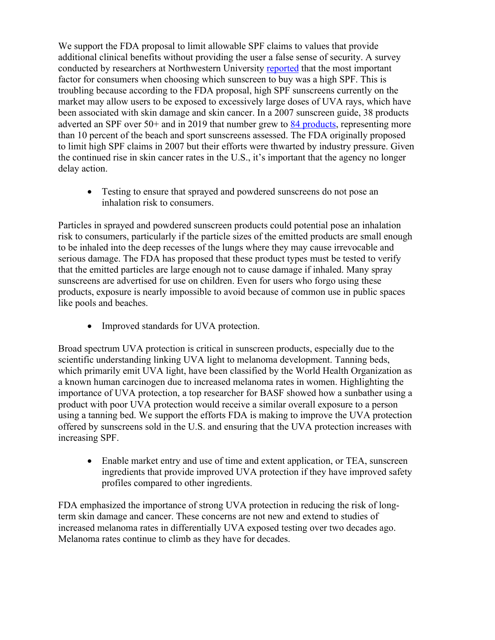We support the FDA proposal to limit allowable SPF claims to values that provide additional clinical benefits without providing the user a false sense of security. A survey conducted by researchers at Northwestern University reported that the most important factor for consumers when choosing which sunscreen to buy was a high SPF. This is troubling because according to the FDA proposal, high SPF sunscreens currently on the market may allow users to be exposed to excessively large doses of UVA rays, which have been associated with skin damage and skin cancer. In a 2007 sunscreen guide, 38 products adverted an SPF over 50+ and in 2019 that number grew to 84 products, representing more than 10 percent of the beach and sport sunscreens assessed. The FDA originally proposed to limit high SPF claims in 2007 but their efforts were thwarted by industry pressure. Given the continued rise in skin cancer rates in the U.S., it's important that the agency no longer delay action.

• Testing to ensure that sprayed and powdered sunscreens do not pose an inhalation risk to consumers.

Particles in sprayed and powdered sunscreen products could potential pose an inhalation risk to consumers, particularly if the particle sizes of the emitted products are small enough to be inhaled into the deep recesses of the lungs where they may cause irrevocable and serious damage. The FDA has proposed that these product types must be tested to verify that the emitted particles are large enough not to cause damage if inhaled. Many spray sunscreens are advertised for use on children. Even for users who forgo using these products, exposure is nearly impossible to avoid because of common use in public spaces like pools and beaches.

• Improved standards for UVA protection.

Broad spectrum UVA protection is critical in sunscreen products, especially due to the scientific understanding linking UVA light to melanoma development. Tanning beds, which primarily emit UVA light, have been classified by the World Health Organization as a known human carcinogen due to increased melanoma rates in women. Highlighting the importance of UVA protection, a top researcher for BASF showed how a sunbather using a product with poor UVA protection would receive a similar overall exposure to a person using a tanning bed. We support the efforts FDA is making to improve the UVA protection offered by sunscreens sold in the U.S. and ensuring that the UVA protection increases with increasing SPF.

• Enable market entry and use of time and extent application, or TEA, sunscreen ingredients that provide improved UVA protection if they have improved safety profiles compared to other ingredients.

FDA emphasized the importance of strong UVA protection in reducing the risk of longterm skin damage and cancer. These concerns are not new and extend to studies of increased melanoma rates in differentially UVA exposed testing over two decades ago. Melanoma rates continue to climb as they have for decades.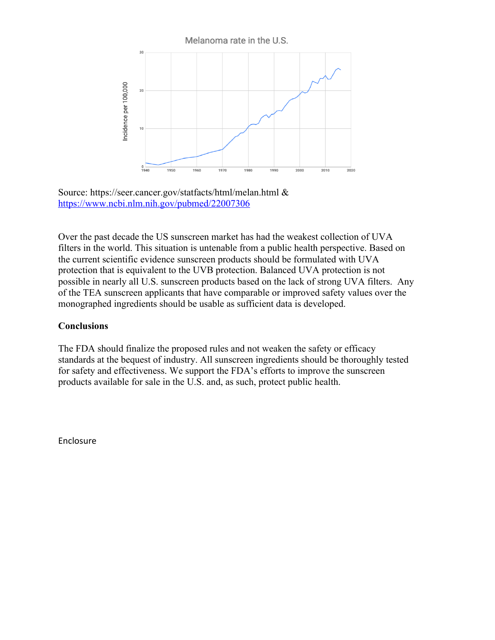

Source: https://seer.cancer.gov/statfacts/html/melan.html & https://www.ncbi.nlm.nih.gov/pubmed/22007306

Over the past decade the US sunscreen market has had the weakest collection of UVA filters in the world. This situation is untenable from a public health perspective. Based on the current scientific evidence sunscreen products should be formulated with UVA protection that is equivalent to the UVB protection. Balanced UVA protection is not possible in nearly all U.S. sunscreen products based on the lack of strong UVA filters. Any of the TEA sunscreen applicants that have comparable or improved safety values over the monographed ingredients should be usable as sufficient data is developed.

## **Conclusions**

The FDA should finalize the proposed rules and not weaken the safety or efficacy standards at the bequest of industry. All sunscreen ingredients should be thoroughly tested for safety and effectiveness. We support the FDA's efforts to improve the sunscreen products available for sale in the U.S. and, as such, protect public health.

Enclosure